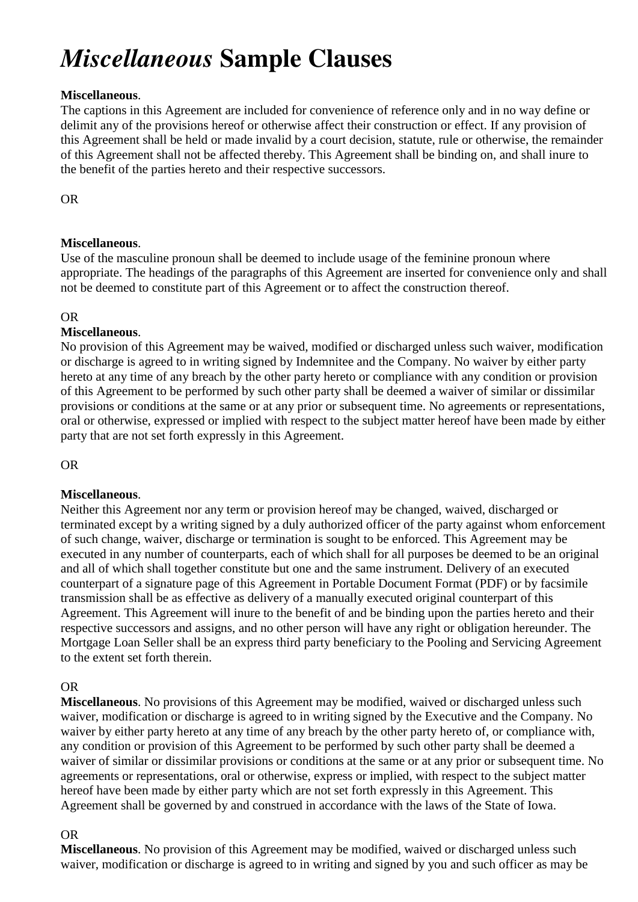# *Miscellaneous* **Sample Clauses**

### **Miscellaneous**.

The captions in this Agreement are included for convenience of reference only and in no way define or delimit any of the provisions hereof or otherwise affect their construction or effect. If any provision of this Agreement shall be held or made invalid by a court decision, statute, rule or otherwise, the remainder of this Agreement shall not be affected thereby. This Agreement shall be binding on, and shall inure to the benefit of the parties hereto and their respective successors.

OR

## **Miscellaneous**.

Use of the masculine pronoun shall be deemed to include usage of the feminine pronoun where appropriate. The headings of the paragraphs of this Agreement are inserted for convenience only and shall not be deemed to constitute part of this Agreement or to affect the construction thereof.

#### OR

## **Miscellaneous**.

No provision of this Agreement may be waived, modified or discharged unless such waiver, modification or discharge is agreed to in writing signed by Indemnitee and the Company. No waiver by either party hereto at any time of any breach by the other party hereto or compliance with any condition or provision of this Agreement to be performed by such other party shall be deemed a waiver of similar or dissimilar provisions or conditions at the same or at any prior or subsequent time. No agreements or representations, oral or otherwise, expressed or implied with respect to the subject matter hereof have been made by either party that are not set forth expressly in this Agreement.

OR

## **Miscellaneous**.

Neither this Agreement nor any term or provision hereof may be changed, waived, discharged or terminated except by a writing signed by a duly authorized officer of the party against whom enforcement of such change, waiver, discharge or termination is sought to be enforced. This Agreement may be executed in any number of counterparts, each of which shall for all purposes be deemed to be an original and all of which shall together constitute but one and the same instrument. Delivery of an executed counterpart of a signature page of this Agreement in Portable Document Format (PDF) or by facsimile transmission shall be as effective as delivery of a manually executed original counterpart of this Agreement. This Agreement will inure to the benefit of and be binding upon the parties hereto and their respective successors and assigns, and no other person will have any right or obligation hereunder. The Mortgage Loan Seller shall be an express third party beneficiary to the Pooling and Servicing Agreement to the extent set forth therein.

#### OR

**Miscellaneous**. No provisions of this Agreement may be modified, waived or discharged unless such waiver, modification or discharge is agreed to in writing signed by the Executive and the Company. No waiver by either party hereto at any time of any breach by the other party hereto of, or compliance with, any condition or provision of this Agreement to be performed by such other party shall be deemed a waiver of similar or dissimilar provisions or conditions at the same or at any prior or subsequent time. No agreements or representations, oral or otherwise, express or implied, with respect to the subject matter hereof have been made by either party which are not set forth expressly in this Agreement. This Agreement shall be governed by and construed in accordance with the laws of the State of Iowa.

#### OR

**Miscellaneous**. No provision of this Agreement may be modified, waived or discharged unless such waiver, modification or discharge is agreed to in writing and signed by you and such officer as may be